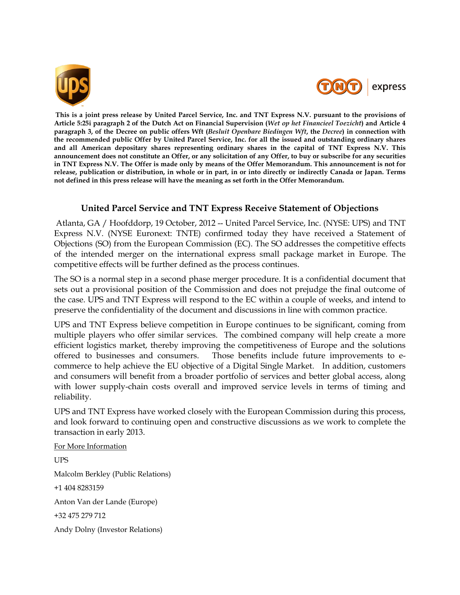



**This is a joint press release by United Parcel Service, Inc. and TNT Express N.V. pursuant to the provisions of Article 5:25i paragraph 2 of the Dutch Act on Financial Supervision (***Wet op het Financieel Toezicht***) and Article 4 paragraph 3, of the Decree on public offers Wft (***Besluit Openbare Biedingen Wft***, the** *Decree***) in connection with the recommended public Offer by United Parcel Service, Inc. for all the issued and outstanding ordinary shares and all American depositary shares representing ordinary shares in the capital of TNT Express N.V. This announcement does not constitute an Offer, or any solicitation of any Offer, to buy or subscribe for any securities in TNT Express N.V. The Offer is made only by means of the Offer Memorandum. This announcement is not for release, publication or distribution, in whole or in part, in or into directly or indirectly Canada or Japan. Terms not defined in this press release will have the meaning as set forth in the Offer Memorandum.**

## **United Parcel Service and TNT Express Receive Statement of Objections**

Atlanta, GA / Hoofddorp, 19 October, 2012 -- United Parcel Service, Inc. (NYSE: UPS) and TNT Express N.V. (NYSE Euronext: TNTE) confirmed today they have received a Statement of Objections (SO) from the European Commission (EC). The SO addresses the competitive effects of the intended merger on the international express small package market in Europe. The competitive effects will be further defined as the process continues.

The SO is a normal step in a second phase merger procedure. It is a confidential document that sets out a provisional position of the Commission and does not prejudge the final outcome of the case. UPS and TNT Express will respond to the EC within a couple of weeks, and intend to preserve the confidentiality of the document and discussions in line with common practice.

UPS and TNT Express believe competition in Europe continues to be significant, coming from multiple players who offer similar services. The combined company will help create a more efficient logistics market, thereby improving the competitiveness of Europe and the solutions offered to businesses and consumers. Those benefits include future improvements to ecommerce to help achieve the EU objective of a Digital Single Market. In addition, customers and consumers will benefit from a broader portfolio of services and better global access, along with lower supply-chain costs overall and improved service levels in terms of timing and reliability.

UPS and TNT Express have worked closely with the European Commission during this process, and look forward to continuing open and constructive discussions as we work to complete the transaction in early 2013.

For More Information UPS Malcolm Berkley (Public Relations) +1 404 8283159 Anton Van der Lande (Europe) +32 475 279 712 Andy Dolny (Investor Relations)